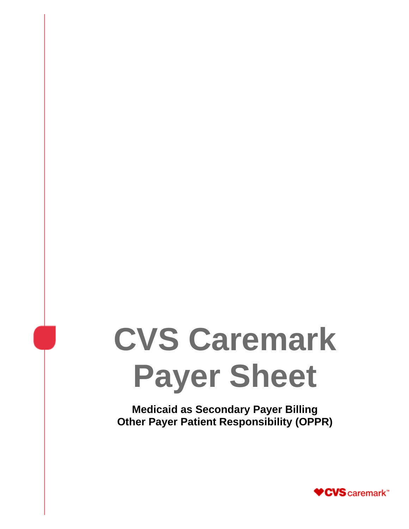# **CVS Caremark Payer Sheet**

**Medicaid as Secondary Payer Billing Other Payer Patient Responsibility (OPPR)**

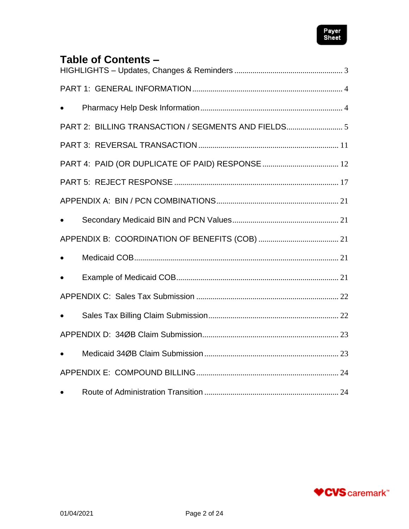

## **Table of Contents –**

| $\bullet$ |  |
|-----------|--|
|           |  |
|           |  |
|           |  |
|           |  |
|           |  |
|           |  |
|           |  |

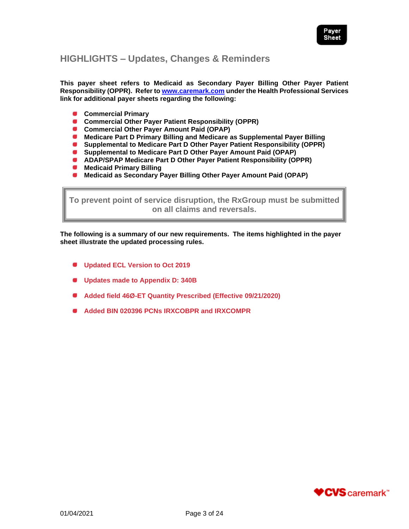

## <span id="page-2-0"></span>**HIGHLIGHTS – Updates, Changes & Reminders**

**This payer sheet refers to Medicaid as Secondary Payer Billing Other Payer Patient Responsibility (OPPR). Refer t[o www.caremark.com](http://www.caremark.com/) under the Health Professional Services link for additional payer sheets regarding the following:**

- **Commercial Primary**
- **Commercial Other Payer Patient Responsibility (OPPR)**
- **Commercial Other Payer Amount Paid (OPAP)**
- **Medicare Part D Primary Billing and Medicare as Supplemental Payer Billing**
- **Supplemental to Medicare Part D Other Payer Patient Responsibility (OPPR)**
- **Supplemental to Medicare Part D Other Payer Amount Paid (OPAP)**
- **ADAP/SPAP Medicare Part D Other Payer Patient Responsibility (OPPR)**
- **Medicaid Primary Billing**
- **Medicaid as Secondary Payer Billing Other Payer Amount Paid (OPAP)**

**To prevent point of service disruption, the RxGroup must be submitted on all claims and reversals.**

**The following is a summary of our new requirements. The items highlighted in the payer sheet illustrate the updated processing rules.**

- **Updated ECL Version to Oct 2019**
- **Updates made to Appendix D: 340B**
- **Added field 46Ø-ET Quantity Prescribed (Effective 09/21/2020)**
- **Added BIN 020396 PCNs IRXCOBPR and IRXCOMPR**

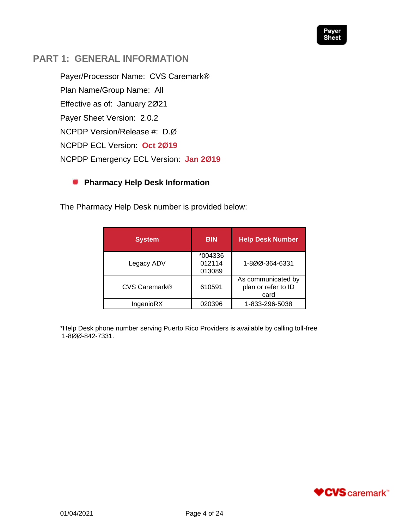

## <span id="page-3-0"></span>**PART 1: GENERAL INFORMATION**

Payer/Processor Name: CVS Caremark® Plan Name/Group Name: All Effective as of: January 2Ø21 Payer Sheet Version: 2.0.2 NCPDP Version/Release #: D.Ø NCPDP ECL Version: **Oct 2Ø19** NCPDP Emergency ECL Version: **Jan 2Ø19**

#### <span id="page-3-1"></span>**Pharmacy Help Desk Information**

The Pharmacy Help Desk number is provided below:

| <b>System</b>        | <b>BIN</b>                  | <b>Help Desk Number</b>                           |
|----------------------|-----------------------------|---------------------------------------------------|
| Legacy ADV           | *004336<br>012114<br>013089 | 1-800-364-6331                                    |
| <b>CVS Caremark®</b> | 610591                      | As communicated by<br>plan or refer to ID<br>card |
| IngenioRX            | 020396                      | 1-833-296-5038                                    |

\*Help Desk phone number serving Puerto Rico Providers is available by calling toll-free 1-8ØØ-842-7331.

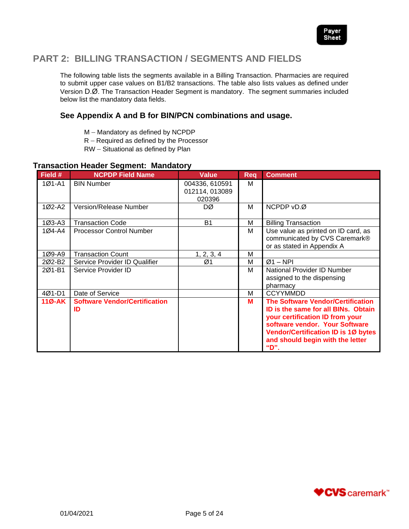

## <span id="page-4-0"></span>**PART 2: BILLING TRANSACTION / SEGMENTS AND FIELDS**

The following table lists the segments available in a Billing Transaction. Pharmacies are required to submit upper case values on B1/B2 transactions. The table also lists values as defined under Version D.Ø. The Transaction Header Segment is mandatory. The segment summaries included below list the mandatory data fields.

#### **See Appendix A and B for BIN/PCN combinations and usage.**

- M Mandatory as defined by NCPDP
- R Required as defined by the Processor
- RW Situational as defined by Plan

#### **Transaction Header Segment: Mandatory**

| Field #    | <b>NCPDP Field Name</b>                    | <b>Value</b>                               | <b>Req</b> | <b>Comment</b>                                                                                                                                                                                                                                 |
|------------|--------------------------------------------|--------------------------------------------|------------|------------------------------------------------------------------------------------------------------------------------------------------------------------------------------------------------------------------------------------------------|
| 1Ø1-A1     | <b>BIN Number</b>                          | 004336, 610591<br>012114, 013089<br>020396 | м          |                                                                                                                                                                                                                                                |
| 1Ø2-A2     | <b>Version/Release Number</b>              | DØ                                         | м          | NCPDP vD.Ø                                                                                                                                                                                                                                     |
| $103 - A3$ | <b>Transaction Code</b>                    | <b>B1</b>                                  | M          | <b>Billing Transaction</b>                                                                                                                                                                                                                     |
| 1Ø4-A4     | <b>Processor Control Number</b>            |                                            | м          | Use value as printed on ID card, as<br>communicated by CVS Caremark®<br>or as stated in Appendix A                                                                                                                                             |
| $109 - A9$ | <b>Transaction Count</b>                   | 1, 2, 3, 4                                 | M          |                                                                                                                                                                                                                                                |
| 202-B2     | Service Provider ID Qualifier              | Ø1                                         | M          | $Ø1 - NPI$                                                                                                                                                                                                                                     |
| 201-B1     | Service Provider ID                        |                                            | м          | National Provider ID Number<br>assigned to the dispensing<br>pharmacy                                                                                                                                                                          |
| 4Ø1-D1     | Date of Service                            |                                            | М          | <b>CCYYMMDD</b>                                                                                                                                                                                                                                |
| $11Ø-AK$   | <b>Software Vendor/Certification</b><br>ID |                                            | M          | <b>The Software Vendor/Certification</b><br>ID is the same for all BINs. Obtain<br>your certification ID from your<br>software vendor. Your Software<br><b>Vendor/Certification ID is 10 bytes</b><br>and should begin with the letter<br>"D". |

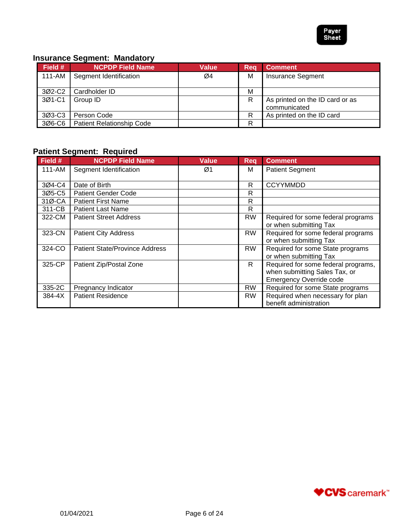

#### **Insurance Segment: Mandatory**

| Field # | <b>NCPDP Field Name</b>          | <b>Value</b> | Reg | <b>Comment</b>                                  |
|---------|----------------------------------|--------------|-----|-------------------------------------------------|
| 111-AM  | Segment Identification           | Ø4           | M   | <b>Insurance Segment</b>                        |
| 3Ø2-C2  | Cardholder ID                    |              | M   |                                                 |
| 3Ø1-C1  | Group ID                         |              | R   | As printed on the ID card or as<br>communicated |
| 3Ø3-C3  | Person Code                      |              | R   | As printed on the ID card                       |
| 306-C6  | <b>Patient Relationship Code</b> |              | R   |                                                 |

### **Patient Segment: Required**

| Field # | <b>NCPDP Field Name</b>               | <b>Value</b> | <b>Req</b> | <b>Comment</b>                                                                                         |
|---------|---------------------------------------|--------------|------------|--------------------------------------------------------------------------------------------------------|
| 111-AM  | Segment Identification                | Ø1           | M          | <b>Patient Segment</b>                                                                                 |
| 3Ø4-C4  | Date of Birth                         |              | R          | <b>CCYYMMDD</b>                                                                                        |
| 3Ø5-C5  | <b>Patient Gender Code</b>            |              | R          |                                                                                                        |
| 31Ø-CA  | <b>Patient First Name</b>             |              | R          |                                                                                                        |
| 311-CB  | <b>Patient Last Name</b>              |              | R          |                                                                                                        |
| 322-CM  | <b>Patient Street Address</b>         |              | RW         | Required for some federal programs<br>or when submitting Tax                                           |
| 323-CN  | <b>Patient City Address</b>           |              | <b>RW</b>  | Required for some federal programs<br>or when submitting Tax                                           |
| 324-CO  | <b>Patient State/Province Address</b> |              | <b>RW</b>  | Required for some State programs<br>or when submitting Tax                                             |
| 325-CP  | Patient Zip/Postal Zone               |              | R          | Required for some federal programs,<br>when submitting Sales Tax, or<br><b>Emergency Override code</b> |
| 335-2C  | Pregnancy Indicator                   |              | <b>RW</b>  | Required for some State programs                                                                       |
| 384-4X  | <b>Patient Residence</b>              |              | <b>RW</b>  | Required when necessary for plan<br>benefit administration                                             |

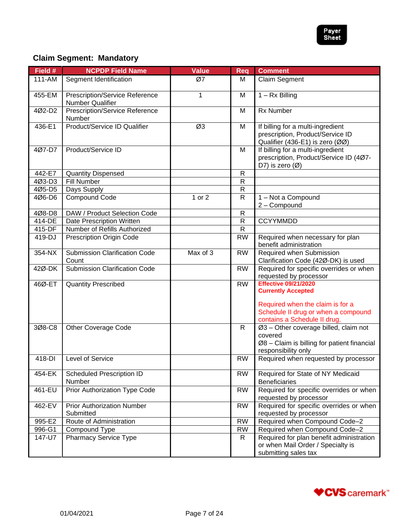

## **Claim Segment: Mandatory**

| Field # | <b>NCPDP Field Name</b>                                          | <b>Value</b> | Req            | <b>Comment</b>                                                                                                                                         |
|---------|------------------------------------------------------------------|--------------|----------------|--------------------------------------------------------------------------------------------------------------------------------------------------------|
| 111-AM  | Segment Identification                                           | Ø7           | М              | Claim Segment                                                                                                                                          |
| 455-EM  | <b>Prescription/Service Reference</b><br><b>Number Qualifier</b> | 1            | M              | $1 - Rx$ Billing                                                                                                                                       |
| 4Ø2-D2  | <b>Prescription/Service Reference</b><br>Number                  |              | M              | Rx Number                                                                                                                                              |
| 436-E1  | Product/Service ID Qualifier                                     | Ø3           | M              | If billing for a multi-ingredient<br>prescription, Product/Service ID<br>Qualifier (436-E1) is zero (ØØ)                                               |
| 4Ø7-D7  | Product/Service ID                                               |              | M              | If billing for a multi-ingredient<br>prescription, Product/Service ID (407-<br>D7) is zero $(\emptyset)$                                               |
| 442-E7  | <b>Quantity Dispensed</b>                                        |              | $\mathsf{R}$   |                                                                                                                                                        |
| 4Ø3-D3  | <b>Fill Number</b>                                               |              | ${\sf R}$      |                                                                                                                                                        |
| 4Ø5-D5  | Days Supply                                                      |              | ${\sf R}$      |                                                                                                                                                        |
| 4Ø6-D6  | <b>Compound Code</b>                                             | 1 or 2       | $\mathsf{R}$   | 1 - Not a Compound<br>2 - Compound                                                                                                                     |
| 4Ø8-D8  | DAW / Product Selection Code                                     |              | ${\sf R}$      |                                                                                                                                                        |
| 414-DE  | Date Prescription Written                                        |              | $\overline{R}$ | <b>CCYYMMDD</b>                                                                                                                                        |
| 415-DF  | Number of Refills Authorized                                     |              | ${\sf R}$      |                                                                                                                                                        |
| 419-DJ  | <b>Prescription Origin Code</b>                                  |              | <b>RW</b>      | Required when necessary for plan<br>benefit administration                                                                                             |
| 354-NX  | <b>Submission Clarification Code</b><br>Count                    | Max of 3     | <b>RW</b>      | Required when Submission<br>Clarification Code (42Ø-DK) is used                                                                                        |
| 42Ø-DK  | <b>Submission Clarification Code</b>                             |              | <b>RW</b>      | Required for specific overrides or when<br>requested by processor                                                                                      |
| 46Ø-ET  | <b>Quantity Prescribed</b>                                       |              | <b>RW</b>      | <b>Effective 09/21/2020</b><br><b>Currently Accepted</b><br>Required when the claim is for a<br>Schedule II drug or when a compound                    |
| 3Ø8-C8  | <b>Other Coverage Code</b>                                       |              | $\mathsf{R}$   | contains a Schedule II drug.<br>Ø3 - Other coverage billed, claim not<br>covered<br>Ø8 - Claim is billing for patient financial<br>responsibility only |
| 418-DI  | Level of Service                                                 |              | <b>RW</b>      | Required when requested by processor                                                                                                                   |
| 454-EK  | Scheduled Prescription ID<br>Number                              |              | <b>RW</b>      | Required for State of NY Medicaid<br><b>Beneficiaries</b>                                                                                              |
| 461-EU  | Prior Authorization Type Code                                    |              | <b>RW</b>      | Required for specific overrides or when<br>requested by processor                                                                                      |
| 462-EV  | <b>Prior Authorization Number</b><br>Submitted                   |              | <b>RW</b>      | Required for specific overrides or when<br>requested by processor                                                                                      |
| 995-E2  | Route of Administration                                          |              | <b>RW</b>      | Required when Compound Code-2                                                                                                                          |
| 996-G1  | Compound Type                                                    |              | <b>RW</b>      | Required when Compound Code-2                                                                                                                          |
| 147-U7  | <b>Pharmacy Service Type</b>                                     |              | R              | Required for plan benefit administration<br>or when Mail Order / Specialty is<br>submitting sales tax                                                  |

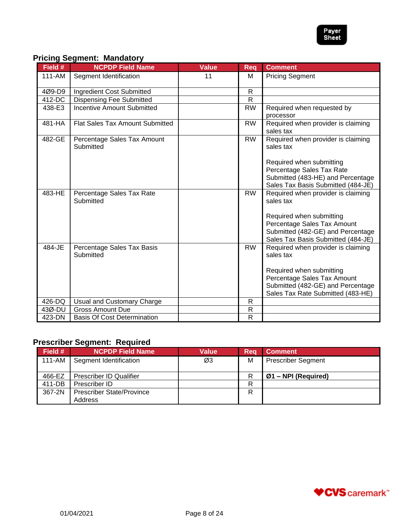

### **Pricing Segment: Mandatory**

| Field #          | <b>NCPDP Field Name</b>                               | <b>Value</b> | <b>Req</b>        | <b>Comment</b>                                                                                                                     |
|------------------|-------------------------------------------------------|--------------|-------------------|------------------------------------------------------------------------------------------------------------------------------------|
| 111-AM           | Segment Identification                                | 11           | M                 | <b>Pricing Segment</b>                                                                                                             |
| 4Ø9-D9           | Ingredient Cost Submitted                             |              | R                 |                                                                                                                                    |
| 412-DC           | <b>Dispensing Fee Submitted</b>                       |              | $\mathsf{R}$      |                                                                                                                                    |
| 438-E3           | <b>Incentive Amount Submitted</b>                     |              | <b>RW</b>         | Required when requested by<br>processor                                                                                            |
| 481-HA           | Flat Sales Tax Amount Submitted                       |              | <b>RW</b>         | Required when provider is claiming<br>sales tax                                                                                    |
| 482-GE           | Percentage Sales Tax Amount<br>Submitted              |              | <b>RW</b>         | Required when provider is claiming<br>sales tax                                                                                    |
|                  |                                                       |              |                   | Required when submitting                                                                                                           |
|                  |                                                       |              |                   | Percentage Sales Tax Rate                                                                                                          |
|                  |                                                       |              |                   | Submitted (483-HE) and Percentage<br>Sales Tax Basis Submitted (484-JE)                                                            |
| 483-HE           | Percentage Sales Tax Rate<br>Submitted                |              | <b>RW</b>         | Required when provider is claiming<br>sales tax                                                                                    |
|                  |                                                       |              |                   | Required when submitting<br>Percentage Sales Tax Amount<br>Submitted (482-GE) and Percentage<br>Sales Tax Basis Submitted (484-JE) |
| 484-JE           | Percentage Sales Tax Basis<br>Submitted               |              | <b>RW</b>         | Required when provider is claiming<br>sales tax                                                                                    |
|                  |                                                       |              |                   | Required when submitting                                                                                                           |
|                  |                                                       |              |                   | Percentage Sales Tax Amount                                                                                                        |
|                  |                                                       |              |                   | Submitted (482-GE) and Percentage                                                                                                  |
|                  |                                                       |              |                   | Sales Tax Rate Submitted (483-HE)                                                                                                  |
| 426-DQ           | Usual and Customary Charge<br><b>Gross Amount Due</b> |              | $\mathsf{R}$<br>R |                                                                                                                                    |
| 43Ø-DU<br>423-DN | <b>Basis Of Cost Determination</b>                    |              | $\mathsf{R}$      |                                                                                                                                    |
|                  |                                                       |              |                   |                                                                                                                                    |

### **Prescriber Segment: Required**

| Field # | <b>NCPDP Field Name</b>          | Value | Rea | <b>Comment</b>            |
|---------|----------------------------------|-------|-----|---------------------------|
| 111-AM  | Segment Identification           | ØЗ    | M   | <b>Prescriber Segment</b> |
|         |                                  |       |     |                           |
| 466-EZ  | <b>Prescriber ID Qualifier</b>   |       | R   | $Ø1 - NPI$ (Required)     |
| 411-DB  | Prescriber ID                    |       | R   |                           |
| 367-2N  | <b>Prescriber State/Province</b> |       | R   |                           |
|         | Address                          |       |     |                           |

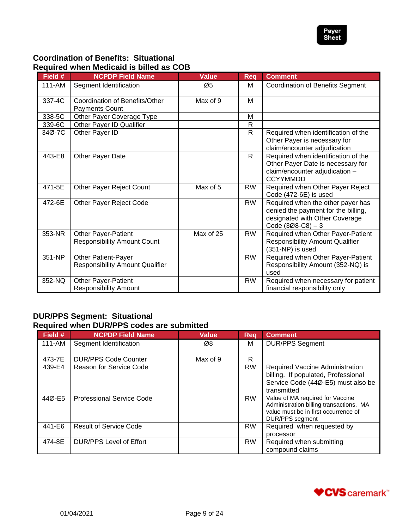

#### **Coordination of Benefits: Situational Required when Medicaid is billed as COB**

| Field #    | <b>NCPDP Field Name</b>                                              | Value     | Rea          | <b>Comment</b>                                                                                                                    |
|------------|----------------------------------------------------------------------|-----------|--------------|-----------------------------------------------------------------------------------------------------------------------------------|
| $111 - AM$ | Segment Identification                                               | Ø5        | м            | <b>Coordination of Benefits Segment</b>                                                                                           |
| 337-4C     | Coordination of Benefits/Other<br><b>Payments Count</b>              | Max of 9  | м            |                                                                                                                                   |
| 338-5C     | Other Payer Coverage Type                                            |           | M            |                                                                                                                                   |
| 339-6C     | Other Payer ID Qualifier                                             |           | $\mathsf{R}$ |                                                                                                                                   |
| 34Ø-7C     | Other Payer ID                                                       |           | $\mathsf{R}$ | Required when identification of the<br>Other Payer is necessary for<br>claim/encounter adjudication                               |
| 443-E8     | Other Payer Date                                                     |           | R.           | Required when identification of the<br>Other Payer Date is necessary for<br>claim/encounter adjudication -<br><b>CCYYMMDD</b>     |
| 471-5E     | Other Payer Reject Count                                             | Max of 5  | <b>RW</b>    | Required when Other Payer Reject<br>Code (472-6E) is used                                                                         |
| 472-6E     | Other Payer Reject Code                                              |           | <b>RW</b>    | Required when the other payer has<br>denied the payment for the billing,<br>designated with Other Coverage<br>Code $(308-C8) - 3$ |
| 353-NR     | <b>Other Payer-Patient</b><br><b>Responsibility Amount Count</b>     | Max of 25 | <b>RW</b>    | Required when Other Payer-Patient<br><b>Responsibility Amount Qualifier</b><br>(351-NP) is used                                   |
| 351-NP     | <b>Other Patient-Payer</b><br><b>Responsibility Amount Qualifier</b> |           | <b>RW</b>    | Required when Other Payer-Patient<br>Responsibility Amount (352-NQ) is<br>used                                                    |
| 352-NQ     | <b>Other Payer-Patient</b><br><b>Responsibility Amount</b>           |           | <b>RW</b>    | Required when necessary for patient<br>financial responsibility only                                                              |

#### **DUR/PPS Segment: Situational Required when DUR/PPS codes are submitted**

| Field # | <b>NCPDP Field Name</b>          | Value    | Rea       | <b>Comment</b>                                                                                                                                |
|---------|----------------------------------|----------|-----------|-----------------------------------------------------------------------------------------------------------------------------------------------|
| 111-AM  | Segment Identification           | Ø8       | м         | <b>DUR/PPS Segment</b>                                                                                                                        |
| 473-7E  | <b>DUR/PPS Code Counter</b>      | Max of 9 | R         |                                                                                                                                               |
| 439-E4  | Reason for Service Code          |          | <b>RW</b> | Required Vaccine Administration<br>billing. If populated, Professional<br>Service Code (44Ø-E5) must also be<br>transmitted                   |
| 44Ø-E5  | <b>Professional Service Code</b> |          | <b>RW</b> | Value of MA required for Vaccine<br>Administration billing transactions. MA<br>value must be in first occurrence of<br><b>DUR/PPS</b> segment |
| 441-E6  | <b>Result of Service Code</b>    |          | <b>RW</b> | Required when requested by<br>processor                                                                                                       |
| 474-8E  | DUR/PPS Level of Effort          |          | <b>RW</b> | Required when submitting<br>compound claims                                                                                                   |

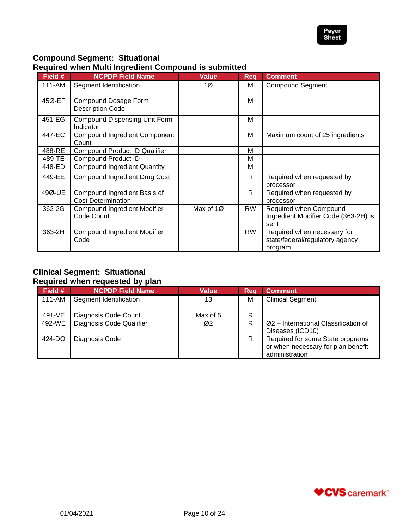

#### **Compound Segment: Situational Required when Multi Ingredient Compound is submitted**

| Field # | <b>NCPDP Field Name</b>                                   | <b>Value</b> | Req       | <b>Comment</b>                                                            |
|---------|-----------------------------------------------------------|--------------|-----------|---------------------------------------------------------------------------|
| 111-AM  | Segment Identification                                    | 1Ø           | м         | <b>Compound Segment</b>                                                   |
| 45Ø-EF  | Compound Dosage Form<br><b>Description Code</b>           |              | M         |                                                                           |
| 451-EG  | <b>Compound Dispensing Unit Form</b><br>Indicator         |              | M         |                                                                           |
| 447-EC  | <b>Compound Ingredient Component</b><br>Count             |              | M         | Maximum count of 25 ingredients                                           |
| 488-RE  | <b>Compound Product ID Qualifier</b>                      |              | М         |                                                                           |
| 489-TE  | <b>Compound Product ID</b>                                |              | М         |                                                                           |
| 448-ED  | <b>Compound Ingredient Quantity</b>                       |              | M         |                                                                           |
| 449-EE  | <b>Compound Ingredient Drug Cost</b>                      |              | R         | Required when requested by<br>processor                                   |
| 49Ø-UE  | Compound Ingredient Basis of<br><b>Cost Determination</b> |              | R         | Required when requested by<br>processor                                   |
| 362-2G  | <b>Compound Ingredient Modifier</b><br>Code Count         | Max of 1Ø    | <b>RW</b> | Required when Compound<br>Ingredient Modifier Code (363-2H) is<br>sent    |
| 363-2H  | <b>Compound Ingredient Modifier</b><br>Code               |              | <b>RW</b> | Required when necessary for<br>state/federal/regulatory agency<br>program |

#### **Clinical Segment: Situational Required when requested by plan**

| Field # | <b>NCPDP Field Name</b>  | <b>Value</b> | Rea | <b>Comment</b>                                                                           |
|---------|--------------------------|--------------|-----|------------------------------------------------------------------------------------------|
| 111-AM  | Segment Identification   | 13           | M   | <b>Clinical Segment</b>                                                                  |
| 491-VE  | Diagnosis Code Count     | Max of 5     | R   |                                                                                          |
| 492-WE  | Diagnosis Code Qualifier | Ø2           | R   | $Ø2$ – International Classification of<br>Diseases (ICD10)                               |
| 424-DO  | Diagnosis Code           |              | R   | Required for some State programs<br>or when necessary for plan benefit<br>administration |

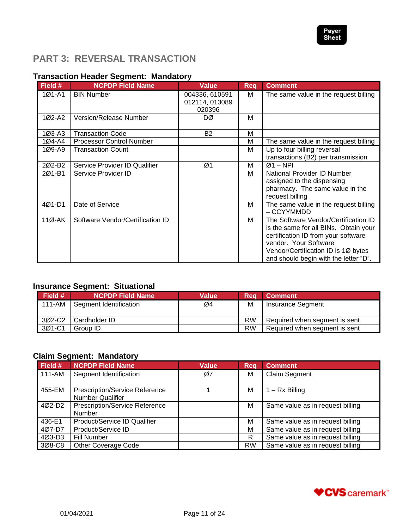

## <span id="page-10-0"></span>**PART 3: REVERSAL TRANSACTION**

#### **Transaction Header Segment: Mandatory**

| Field #    | <b>NCPDP Field Name</b>          | Value                                      | <b>Req</b> | <b>Comment</b>                                                                                                                                                                                                                |
|------------|----------------------------------|--------------------------------------------|------------|-------------------------------------------------------------------------------------------------------------------------------------------------------------------------------------------------------------------------------|
| 1Ø1-A1     | <b>BIN Number</b>                | 004336, 610591<br>012114, 013089<br>020396 | м          | The same value in the request billing                                                                                                                                                                                         |
| 1Ø2-A2     | Version/Release Number           | DØ                                         | M          |                                                                                                                                                                                                                               |
| $103 - A3$ | <b>Transaction Code</b>          | B <sub>2</sub>                             | M          |                                                                                                                                                                                                                               |
| $1Ø4-A4$   | <b>Processor Control Number</b>  |                                            | M          | The same value in the request billing                                                                                                                                                                                         |
| 1Ø9-A9     | <b>Transaction Count</b>         |                                            | M          | Up to four billing reversal                                                                                                                                                                                                   |
|            |                                  |                                            |            | transactions (B2) per transmission                                                                                                                                                                                            |
| 2Ø2-B2     | Service Provider ID Qualifier    | Ø1                                         | M          | $Ø1 - NPI$                                                                                                                                                                                                                    |
| 201-B1     | Service Provider ID              |                                            | м          | National Provider ID Number<br>assigned to the dispensing<br>pharmacy. The same value in the<br>request billing                                                                                                               |
| 4Ø1-D1     | Date of Service                  |                                            | M          | The same value in the request billing<br>- CCYYMMDD                                                                                                                                                                           |
| 11Ø-AK     | Software Vendor/Certification ID |                                            | M          | The Software Vendor/Certification ID<br>is the same for all BINs. Obtain your<br>certification ID from your software<br>vendor. Your Software<br>Vendor/Certification ID is 1Ø bytes<br>and should begin with the letter "D". |

### **Insurance Segment: Situational**

|           | -                       |              |           |                               |
|-----------|-------------------------|--------------|-----------|-------------------------------|
| Field $#$ | <b>NCPDP Field Name</b> | <b>Value</b> | Rea       | <b>Comment</b>                |
| 111-AM    | Segment Identification  | Ø4           | M         | Insurance Segment             |
| 3Ø2-C2    | Cardholder ID           |              | <b>RW</b> | Required when segment is sent |
| 3Ø1-C1    | Group ID                |              | <b>RW</b> | Required when segment is sent |

#### **Claim Segment: Mandatory**

| Field # | <b>NCPDP Field Name</b>               | <b>Value</b> | Req       | <b>Comment</b>                   |
|---------|---------------------------------------|--------------|-----------|----------------------------------|
| 111-AM  | Segment Identification                | Ø7           | M         | <b>Claim Segment</b>             |
|         |                                       |              |           |                                  |
| 455-EM  | Prescription/Service Reference        |              | M         | $1 - Rx$ Billing                 |
|         | <b>Number Qualifier</b>               |              |           |                                  |
| 4Ø2-D2  | <b>Prescription/Service Reference</b> |              | M         | Same value as in request billing |
|         | <b>Number</b>                         |              |           |                                  |
| 436-E1  | Product/Service ID Qualifier          |              | M         | Same value as in request billing |
| 407-D7  | Product/Service ID                    |              | M         | Same value as in request billing |
| 4Ø3-D3  | Fill Number                           |              | R         | Same value as in request billing |
| 3Ø8-C8  | <b>Other Coverage Code</b>            |              | <b>RW</b> | Same value as in request billing |

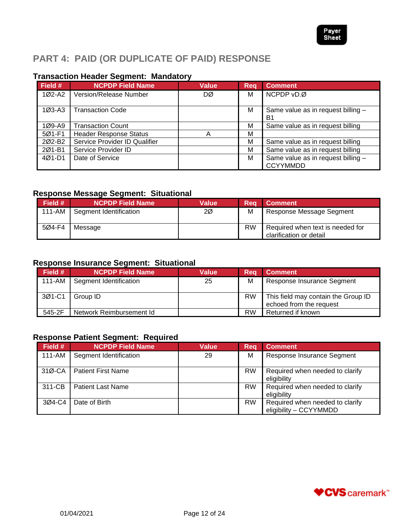

## <span id="page-11-0"></span>**PART 4: PAID (OR DUPLICATE OF PAID) RESPONSE**

#### **Transaction Header Segment: Mandatory**

| Field #    | <b>NCPDP Field Name</b>       | <b>Value</b> | Rea | <b>Comment</b>                                        |
|------------|-------------------------------|--------------|-----|-------------------------------------------------------|
| 1Ø2-A2     | Version/Release Number        | DØ           | M   | NCPDP vD.Ø                                            |
| $103 - A3$ | <b>Transaction Code</b>       |              | M   | Same value as in request billing -<br><b>B1</b>       |
| $109 - A9$ | <b>Transaction Count</b>      |              | M   | Same value as in request billing                      |
| 5Ø1-F1     | <b>Header Response Status</b> | А            | М   |                                                       |
| 202-B2     | Service Provider ID Qualifier |              | M   | Same value as in request billing                      |
| 201-B1     | Service Provider ID           |              | M   | Same value as in request billing                      |
| $401 - D1$ | Date of Service               |              | M   | Same value as in request billing -<br><b>CCYYMMDD</b> |

#### **Response Message Segment: Situational**

| Field # | <b>NCPDP Field Name</b> | <b>Value</b> | Rea       | <b>Comment</b>                                              |
|---------|-------------------------|--------------|-----------|-------------------------------------------------------------|
| 111-AM  | Segment Identification  | 2Ø           | M         | Response Message Segment                                    |
| 5Ø4-F4  | Message                 |              | <b>RW</b> | Required when text is needed for<br>clarification or detail |

#### **Response Insurance Segment: Situational**

| Field # | <b>NCPDP Field Name</b>  | Value | <b>Req</b> | <b>Comment</b>                                                 |
|---------|--------------------------|-------|------------|----------------------------------------------------------------|
| 111-AM  | Segment Identification   | 25    | M          | Response Insurance Segment                                     |
| 3Ø1-C1  | Group ID                 |       | <b>RW</b>  | This field may contain the Group ID<br>echoed from the request |
| 545-2F  | Network Reimbursement Id |       | <b>RW</b>  | Returned if known                                              |

#### **Response Patient Segment: Required**

| Field #    | <b>NCPDP Field Name</b>   | <b>Value</b> | Rea       | <b>Comment</b>                                            |
|------------|---------------------------|--------------|-----------|-----------------------------------------------------------|
| $111 - AM$ | Segment Identification    | 29           | M         | Response Insurance Segment                                |
| $31Ø-CA$   | <b>Patient First Name</b> |              | <b>RW</b> | Required when needed to clarify<br>eligibility            |
| 311-CB     | <b>Patient Last Name</b>  |              | <b>RW</b> | Required when needed to clarify<br>eligibility            |
| 3Ø4-C4     | Date of Birth             |              | <b>RW</b> | Required when needed to clarify<br>eligibility - CCYYMMDD |

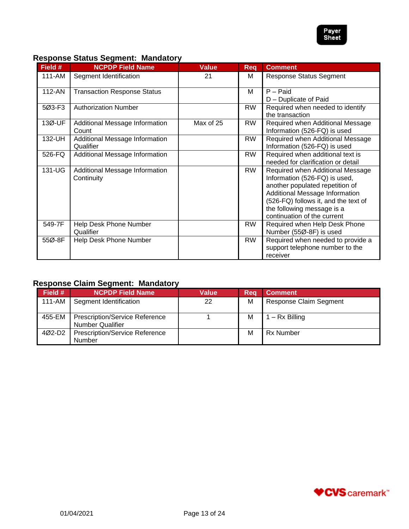

#### **Response Status Segment: Mandatory**

| Field # | <b>NCPDP Field Name</b>            | <b>Value</b> | <b>Req</b> | <b>Comment</b>                       |
|---------|------------------------------------|--------------|------------|--------------------------------------|
| 111-AM  | Segment Identification             | 21           | м          | <b>Response Status Segment</b>       |
| 112-AN  | <b>Transaction Response Status</b> |              | м          | $\overline{P}$ – Paid                |
|         |                                    |              |            | D - Duplicate of Paid                |
| 5Ø3-F3  | <b>Authorization Number</b>        |              | <b>RW</b>  | Required when needed to identify     |
|         |                                    |              |            | the transaction                      |
| 13Ø-UF  | Additional Message Information     | Max of 25    | <b>RW</b>  | Required when Additional Message     |
|         | Count                              |              |            | Information (526-FQ) is used         |
| 132-UH  | Additional Message Information     |              | <b>RW</b>  | Required when Additional Message     |
|         | Qualifier                          |              |            | Information (526-FQ) is used         |
| 526-FQ  | Additional Message Information     |              | <b>RW</b>  | Required when additional text is     |
|         |                                    |              |            | needed for clarification or detail   |
| 131-UG  | Additional Message Information     |              | <b>RW</b>  | Required when Additional Message     |
|         | Continuity                         |              |            | Information (526-FQ) is used,        |
|         |                                    |              |            | another populated repetition of      |
|         |                                    |              |            | Additional Message Information       |
|         |                                    |              |            | (526-FQ) follows it, and the text of |
|         |                                    |              |            | the following message is a           |
|         |                                    |              |            | continuation of the current          |
| 549-7F  | Help Desk Phone Number             |              | <b>RW</b>  | Required when Help Desk Phone        |
|         | Qualifier                          |              |            | Number (55Ø-8F) is used              |
| 55Ø-8F  | Help Desk Phone Number             |              | <b>RW</b>  | Required when needed to provide a    |
|         |                                    |              |            | support telephone number to the      |
|         |                                    |              |            | receiver                             |

#### **Response Claim Segment: Mandatory**

| Field # | <b>NCPDP Field Name</b>                                          | Value | Reg | <b>Comment</b>                |
|---------|------------------------------------------------------------------|-------|-----|-------------------------------|
| 111-AM  | Segment Identification                                           | 22    | M   | <b>Response Claim Segment</b> |
| 455-EM  | <b>Prescription/Service Reference</b><br><b>Number Qualifier</b> |       | M   | $1 - Rx$ Billing              |
| 4Ø2-D2  | <b>Prescription/Service Reference</b><br>Number                  |       | M   | <b>Rx Number</b>              |

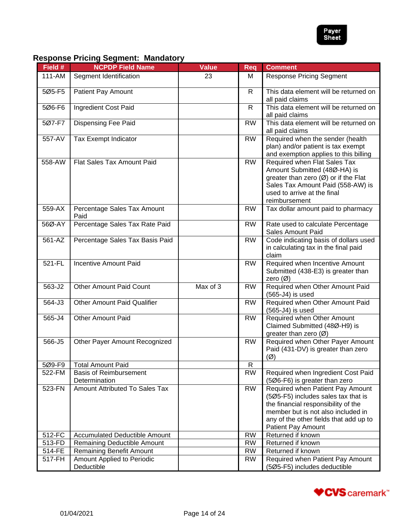

## **Response Pricing Segment: Mandatory**

| Field # | <b>NCPDP Field Name</b>                        | <b>Value</b> | Req          | <b>Comment</b>                                                                                                                                                                                                       |
|---------|------------------------------------------------|--------------|--------------|----------------------------------------------------------------------------------------------------------------------------------------------------------------------------------------------------------------------|
| 111-AM  | Segment Identification                         | 23           | м            | <b>Response Pricing Segment</b>                                                                                                                                                                                      |
| 5Ø5-F5  | <b>Patient Pay Amount</b>                      |              | $\mathsf{R}$ | This data element will be returned on<br>all paid claims                                                                                                                                                             |
| 5Ø6-F6  | <b>Ingredient Cost Paid</b>                    |              | $\mathsf{R}$ | This data element will be returned on<br>all paid claims                                                                                                                                                             |
| 5Ø7-F7  | <b>Dispensing Fee Paid</b>                     |              | <b>RW</b>    | This data element will be returned on<br>all paid claims                                                                                                                                                             |
| 557-AV  | Tax Exempt Indicator                           |              | <b>RW</b>    | Required when the sender (health<br>plan) and/or patient is tax exempt<br>and exemption applies to this billing                                                                                                      |
| 558-AW  | Flat Sales Tax Amount Paid                     |              | <b>RW</b>    | Required when Flat Sales Tax<br>Amount Submitted (48Ø-HA) is<br>greater than zero $(\emptyset)$ or if the Flat<br>Sales Tax Amount Paid (558-AW) is<br>used to arrive at the final<br>reimbursement                  |
| 559-AX  | Percentage Sales Tax Amount<br>Paid            |              | <b>RW</b>    | Tax dollar amount paid to pharmacy                                                                                                                                                                                   |
| 56Ø-AY  | Percentage Sales Tax Rate Paid                 |              | <b>RW</b>    | Rate used to calculate Percentage<br>Sales Amount Paid                                                                                                                                                               |
| 561-AZ  | Percentage Sales Tax Basis Paid                |              | <b>RW</b>    | Code indicating basis of dollars used<br>in calculating tax in the final paid<br>claim                                                                                                                               |
| 521-FL  | <b>Incentive Amount Paid</b>                   |              | <b>RW</b>    | Required when Incentive Amount<br>Submitted (438-E3) is greater than<br>zero $(\emptyset)$                                                                                                                           |
| 563-J2  | <b>Other Amount Paid Count</b>                 | Max of 3     | <b>RW</b>    | Required when Other Amount Paid<br>(565-J4) is used                                                                                                                                                                  |
| 564-J3  | <b>Other Amount Paid Qualifier</b>             |              | <b>RW</b>    | Required when Other Amount Paid<br>(565-J4) is used                                                                                                                                                                  |
| 565-J4  | Other Amount Paid                              |              | <b>RW</b>    | Required when Other Amount<br>Claimed Submitted (48Ø-H9) is<br>greater than zero $(\emptyset)$                                                                                                                       |
| 566-J5  | Other Payer Amount Recognized                  |              | <b>RW</b>    | Required when Other Payer Amount<br>Paid (431-DV) is greater than zero<br>$(\varnothing)$                                                                                                                            |
| 5Ø9-F9  | <b>Total Amount Paid</b>                       |              | R            |                                                                                                                                                                                                                      |
| 522-FM  | <b>Basis of Reimbursement</b><br>Determination |              | <b>RW</b>    | Required when Ingredient Cost Paid<br>(506-F6) is greater than zero                                                                                                                                                  |
| 523-FN  | Amount Attributed To Sales Tax                 |              | <b>RW</b>    | Required when Patient Pay Amount<br>(5Ø5-F5) includes sales tax that is<br>the financial responsibility of the<br>member but is not also included in<br>any of the other fields that add up to<br>Patient Pay Amount |
| 512-FC  | <b>Accumulated Deductible Amount</b>           |              | <b>RW</b>    | Returned if known                                                                                                                                                                                                    |
| 513-FD  | Remaining Deductible Amount                    |              | <b>RW</b>    | Returned if known                                                                                                                                                                                                    |
| 514-FE  | Remaining Benefit Amount                       |              | <b>RW</b>    | Returned if known                                                                                                                                                                                                    |
| 517-FH  | Amount Applied to Periodic<br>Deductible       |              | <b>RW</b>    | Required when Patient Pay Amount<br>(5Ø5-F5) includes deductible                                                                                                                                                     |
|         |                                                |              |              |                                                                                                                                                                                                                      |

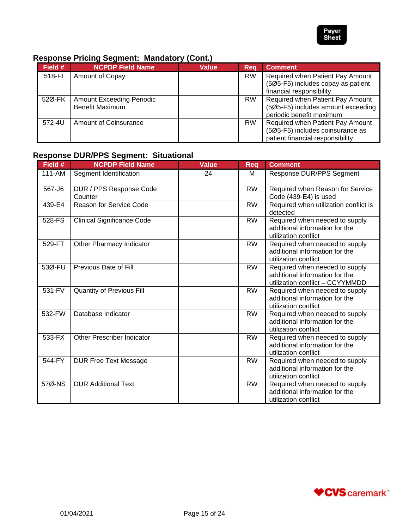

### **Response Pricing Segment: Mandatory (Cont.)**

| Field # | <b>NCPDP Field Name</b>                                    | Value | Reg       | <b>Comment</b>                                                                                           |
|---------|------------------------------------------------------------|-------|-----------|----------------------------------------------------------------------------------------------------------|
| 518-FI  | Amount of Copay                                            |       | <b>RW</b> | Required when Patient Pay Amount<br>(5Ø5-F5) includes copay as patient<br>financial responsibility       |
| 52Ø-FK  | <b>Amount Exceeding Periodic</b><br><b>Benefit Maximum</b> |       | <b>RW</b> | Required when Patient Pay Amount<br>(5Ø5-F5) includes amount exceeding<br>periodic benefit maximum       |
| 572-4U  | Amount of Coinsurance                                      |       | <b>RW</b> | Required when Patient Pay Amount<br>(5Ø5-F5) includes coinsurance as<br>patient financial responsibility |

## **Response DUR/PPS Segment: Situational**

| Field #    | <b>NCPDP Field Name</b>            | <b>Value</b> | <b>Req</b> | <b>Comment</b>                                                                                      |
|------------|------------------------------------|--------------|------------|-----------------------------------------------------------------------------------------------------|
| $111 - AM$ | Segment Identification             | 24           | м          | Response DUR/PPS Segment                                                                            |
| 567-J6     | DUR / PPS Response Code<br>Counter |              | <b>RW</b>  | Required when Reason for Service<br>Code (439-E4) is used                                           |
| 439-E4     | <b>Reason for Service Code</b>     |              | <b>RW</b>  | Required when utilization conflict is<br>detected                                                   |
| 528-FS     | <b>Clinical Significance Code</b>  |              | <b>RW</b>  | Required when needed to supply<br>additional information for the<br>utilization conflict            |
| 529-FT     | Other Pharmacy Indicator           |              | <b>RW</b>  | Required when needed to supply<br>additional information for the<br>utilization conflict            |
| 53Ø-FU     | <b>Previous Date of Fill</b>       |              | <b>RW</b>  | Required when needed to supply<br>additional information for the<br>utilization conflict - CCYYMMDD |
| 531-FV     | <b>Quantity of Previous Fill</b>   |              | <b>RW</b>  | Required when needed to supply<br>additional information for the<br>utilization conflict            |
| 532-FW     | Database Indicator                 |              | <b>RW</b>  | Required when needed to supply<br>additional information for the<br>utilization conflict            |
| 533-FX     | <b>Other Prescriber Indicator</b>  |              | <b>RW</b>  | Required when needed to supply<br>additional information for the<br>utilization conflict            |
| 544-FY     | <b>DUR Free Text Message</b>       |              | <b>RW</b>  | Required when needed to supply<br>additional information for the<br>utilization conflict            |
| 57Ø-NS     | <b>DUR Additional Text</b>         |              | <b>RW</b>  | Required when needed to supply<br>additional information for the<br>utilization conflict            |

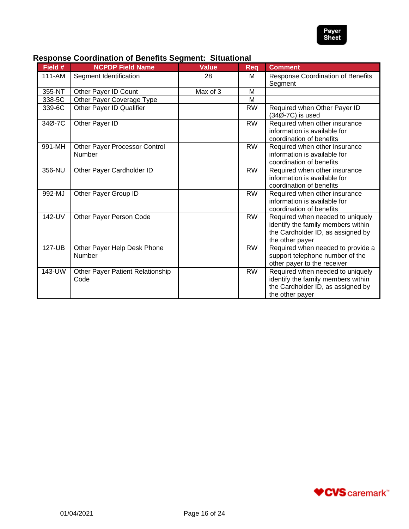

| Field # | <b>NCPDP Field Name</b>                  | <b>Value</b> | <b>Req</b> | <b>Comment</b>                                                                                                                 |  |
|---------|------------------------------------------|--------------|------------|--------------------------------------------------------------------------------------------------------------------------------|--|
| 111-AM  | Segment Identification                   | 28           | M          | <b>Response Coordination of Benefits</b><br>Segment                                                                            |  |
| 355-NT  | Other Payer ID Count                     | Max of 3     | м          |                                                                                                                                |  |
| 338-5C  | Other Payer Coverage Type                |              | M          |                                                                                                                                |  |
| 339-6C  | Other Payer ID Qualifier                 |              | <b>RW</b>  | Required when Other Payer ID<br>$(34\emptyset - 7C)$ is used                                                                   |  |
| 34Ø-7C  | Other Payer ID                           |              | <b>RW</b>  | Required when other insurance<br>information is available for<br>coordination of benefits                                      |  |
| 991-MH  | Other Payer Processor Control<br>Number  |              | <b>RW</b>  | Required when other insurance<br>information is available for<br>coordination of benefits                                      |  |
| 356-NU  | Other Payer Cardholder ID                |              | <b>RW</b>  | Required when other insurance<br>information is available for<br>coordination of benefits                                      |  |
| 992-MJ  | Other Payer Group ID                     |              | <b>RW</b>  | Required when other insurance<br>information is available for<br>coordination of benefits                                      |  |
| 142-UV  | Other Payer Person Code                  |              | <b>RW</b>  | Required when needed to uniquely<br>identify the family members within<br>the Cardholder ID, as assigned by<br>the other payer |  |
| 127-UB  | Other Payer Help Desk Phone<br>Number    |              | <b>RW</b>  | Required when needed to provide a<br>support telephone number of the<br>other payer to the receiver                            |  |
| 143-UW  | Other Payer Patient Relationship<br>Code |              | <b>RW</b>  | Required when needed to uniquely<br>identify the family members within<br>the Cardholder ID, as assigned by<br>the other payer |  |

#### **Response Coordination of Benefits Segment: Situational**

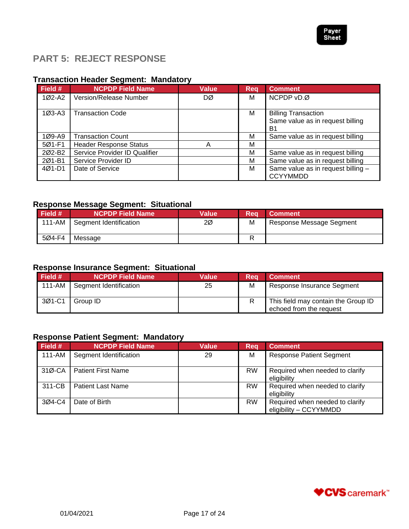

## <span id="page-16-0"></span>**PART 5: REJECT RESPONSE**

#### **Transaction Header Segment: Mandatory**

| Field #    | <b>NCPDP Field Name</b>       | <b>Value</b> | <b>Reg</b> | <b>Comment</b>                     |
|------------|-------------------------------|--------------|------------|------------------------------------|
| 1Ø2-A2     | Version/Release Number        | DØ           | м          | NCPDP vD.Ø                         |
| $103 - A3$ | <b>Transaction Code</b>       |              | м          | <b>Billing Transaction</b>         |
|            |                               |              |            | Same value as in request billing   |
|            |                               |              |            | B1                                 |
| 1Ø9-A9     | <b>Transaction Count</b>      |              | м          | Same value as in request billing   |
| 5Ø1-F1     | <b>Header Response Status</b> | А            | м          |                                    |
| 202-B2     | Service Provider ID Qualifier |              | м          | Same value as in request billing   |
| 2Ø1-B1     | Service Provider ID           |              | м          | Same value as in request billing   |
| 4Ø1-D1     | Date of Service               |              | м          | Same value as in request billing - |
|            |                               |              |            | <b>CCYYMMDD</b>                    |

## **Response Message Segment: Situational**

| Field # | <b>NCPDP Field Name</b> | Value | Rea | <b>Comment</b>           |
|---------|-------------------------|-------|-----|--------------------------|
|         |                         |       |     |                          |
| 111-AM  | Segment Identification  | 2Ø    | M   | Response Message Segment |
| 5Ø4-F4  | Message                 |       |     |                          |

#### **Response Insurance Segment: Situational**

| Field # | <b>NCPDP Field Name</b> | Value | Rea | <b>Comment</b>                                                 |
|---------|-------------------------|-------|-----|----------------------------------------------------------------|
| 111-AM  | Segment Identification  | 25    | M   | Response Insurance Segment                                     |
| 3Ø1-C1  | Group ID                |       |     | This field may contain the Group ID<br>echoed from the request |

#### **Response Patient Segment: Mandatory**

| Field #    | <b>NCPDP Field Name</b>   | Value | Reg       | <b>Comment</b>                                            |
|------------|---------------------------|-------|-----------|-----------------------------------------------------------|
| $111 - AM$ | Segment Identification    | 29    | М         | <b>Response Patient Segment</b>                           |
| $31Ø-CA$   | <b>Patient First Name</b> |       | <b>RW</b> | Required when needed to clarify<br>eligibility            |
| 311-CB     | <b>Patient Last Name</b>  |       | <b>RW</b> | Required when needed to clarify<br>eligibility            |
| 3Ø4-C4     | Date of Birth             |       | <b>RW</b> | Required when needed to clarify<br>eligibility - CCYYMMDD |

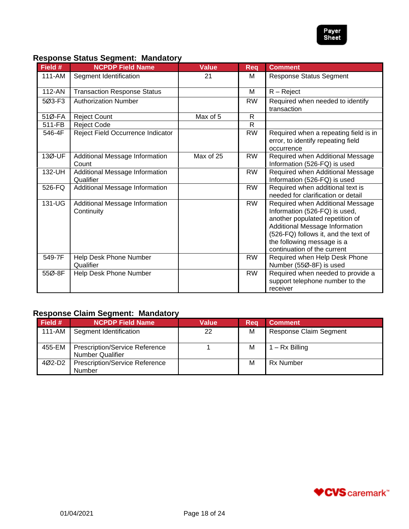

#### **Response Status Segment: Mandatory**

| Field # | <b>NCPDP Field Name</b>                      | <b>Value</b> | <b>Reg</b>   | <b>Comment</b>                                                                                                                                                                                                                              |
|---------|----------------------------------------------|--------------|--------------|---------------------------------------------------------------------------------------------------------------------------------------------------------------------------------------------------------------------------------------------|
| 111-AM  | Segment Identification                       | 21           | M            | <b>Response Status Segment</b>                                                                                                                                                                                                              |
| 112-AN  | <b>Transaction Response Status</b>           |              | M            | $R - Reject$                                                                                                                                                                                                                                |
| 5Ø3-F3  | <b>Authorization Number</b>                  |              | <b>RW</b>    | Required when needed to identify<br>transaction                                                                                                                                                                                             |
| 51Ø-FA  | <b>Reject Count</b>                          | Max of 5     | R            |                                                                                                                                                                                                                                             |
| 511-FB  | <b>Reject Code</b>                           |              | $\mathsf{R}$ |                                                                                                                                                                                                                                             |
| 546-4F  | Reject Field Occurrence Indicator            |              | <b>RW</b>    | Required when a repeating field is in<br>error, to identify repeating field<br>occurrence                                                                                                                                                   |
| 13Ø-UF  | Additional Message Information<br>Count      | Max of 25    | <b>RW</b>    | Required when Additional Message<br>Information (526-FQ) is used                                                                                                                                                                            |
| 132-UH  | Additional Message Information<br>Qualifier  |              | <b>RW</b>    | Required when Additional Message<br>Information (526-FQ) is used                                                                                                                                                                            |
| 526-FQ  | Additional Message Information               |              | <b>RW</b>    | Required when additional text is<br>needed for clarification or detail                                                                                                                                                                      |
| 131-UG  | Additional Message Information<br>Continuity |              | <b>RW</b>    | Required when Additional Message<br>Information (526-FQ) is used,<br>another populated repetition of<br>Additional Message Information<br>(526-FQ) follows it, and the text of<br>the following message is a<br>continuation of the current |
| 549-7F  | Help Desk Phone Number<br>Qualifier          |              | <b>RW</b>    | Required when Help Desk Phone<br>Number (55Ø-8F) is used                                                                                                                                                                                    |
| 55Ø-8F  | Help Desk Phone Number                       |              | <b>RW</b>    | Required when needed to provide a<br>support telephone number to the<br>receiver                                                                                                                                                            |

#### **Response Claim Segment: Mandatory**

| Field # | <b>NCPDP Field Name</b>                                          | Value | Reg | <b>Comment</b>         |
|---------|------------------------------------------------------------------|-------|-----|------------------------|
| 111-AM  | Segment Identification                                           | 22    | M   | Response Claim Segment |
| 455-EM  | <b>Prescription/Service Reference</b><br><b>Number Qualifier</b> |       | м   | – Rx Billing           |
| 4Ø2-D2  | <b>Prescription/Service Reference</b><br>Number                  |       | M   | <b>Rx Number</b>       |

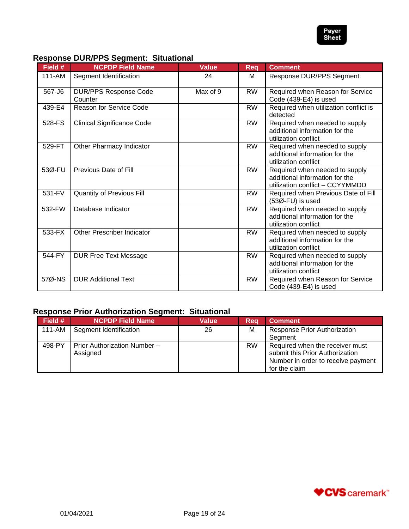

### **Response DUR/PPS Segment: Situational**

| Field # | <b>NCPDP Field Name</b>                 | <b>Value</b> | Req       | <b>Comment</b>                                                                                      |
|---------|-----------------------------------------|--------------|-----------|-----------------------------------------------------------------------------------------------------|
| 111-AM  | Segment Identification                  | 24           | м         | Response DUR/PPS Segment                                                                            |
| 567-J6  | <b>DUR/PPS Response Code</b><br>Counter | Max of 9     | <b>RW</b> | Required when Reason for Service<br>Code (439-E4) is used                                           |
| 439-E4  | Reason for Service Code                 |              | <b>RW</b> | Required when utilization conflict is<br>detected                                                   |
| 528-FS  | <b>Clinical Significance Code</b>       |              | <b>RW</b> | Required when needed to supply<br>additional information for the<br>utilization conflict            |
| 529-FT  | Other Pharmacy Indicator                |              | <b>RW</b> | Required when needed to supply<br>additional information for the<br>utilization conflict            |
| 53Ø-FU  | Previous Date of Fill                   |              | <b>RW</b> | Required when needed to supply<br>additional information for the<br>utilization conflict - CCYYMMDD |
| 531-FV  | <b>Quantity of Previous Fill</b>        |              | <b>RW</b> | Required when Previous Date of Fill<br>(53Ø-FU) is used                                             |
| 532-FW  | Database Indicator                      |              | <b>RW</b> | Required when needed to supply<br>additional information for the<br>utilization conflict            |
| 533-FX  | <b>Other Prescriber Indicator</b>       |              | <b>RW</b> | Required when needed to supply<br>additional information for the<br>utilization conflict            |
| 544-FY  | <b>DUR Free Text Message</b>            |              | <b>RW</b> | Required when needed to supply<br>additional information for the<br>utilization conflict            |
| 57Ø-NS  | <b>DUR Additional Text</b>              |              | <b>RW</b> | Required when Reason for Service<br>Code (439-E4) is used                                           |

## **Response Prior Authorization Segment: Situational**

| Field # | <b>NCPDP Field Name</b>      | Value | Rea       | <b>Comment</b>                      |
|---------|------------------------------|-------|-----------|-------------------------------------|
| 111-AM  | Segment Identification       | 26    | м         | <b>Response Prior Authorization</b> |
|         |                              |       |           | Seament                             |
| 498-PY  | Prior Authorization Number - |       | <b>RW</b> | Required when the receiver must     |
|         | Assigned                     |       |           | submit this Prior Authorization     |
|         |                              |       |           | Number in order to receive payment  |
|         |                              |       |           | for the claim                       |

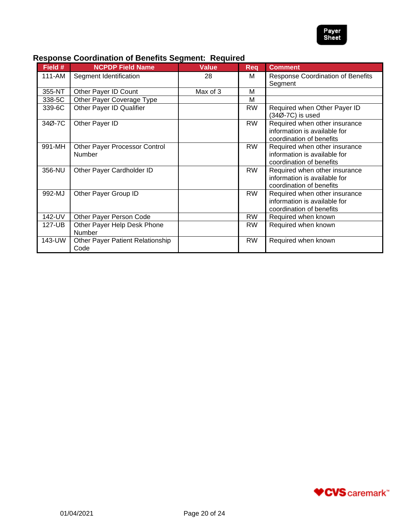

| Field # | <b>NCPDP Field Name</b>                         | <b>Value</b> | <b>Req</b> | <b>Comment</b>                                                                            |  |
|---------|-------------------------------------------------|--------------|------------|-------------------------------------------------------------------------------------------|--|
| 111-AM  | Segment Identification                          | 28           | м          | <b>Response Coordination of Benefits</b><br>Segment                                       |  |
| 355-NT  | Other Payer ID Count                            | Max of 3     | м          |                                                                                           |  |
| 338-5C  | Other Payer Coverage Type                       |              | М          |                                                                                           |  |
| 339-6C  | Other Payer ID Qualifier                        |              | <b>RW</b>  | Required when Other Payer ID<br>(34Ø-7C) is used                                          |  |
| 34Ø-7C  | Other Payer ID                                  |              | <b>RW</b>  | Required when other insurance<br>information is available for<br>coordination of benefits |  |
| 991-MH  | Other Payer Processor Control<br><b>Number</b>  |              | <b>RW</b>  | Required when other insurance<br>information is available for<br>coordination of benefits |  |
| 356-NU  | Other Payer Cardholder ID                       |              | <b>RW</b>  | Required when other insurance<br>information is available for<br>coordination of benefits |  |
| 992-MJ  | Other Payer Group ID                            |              | <b>RW</b>  | Required when other insurance<br>information is available for<br>coordination of benefits |  |
| 142-UV  | Other Payer Person Code                         |              | <b>RW</b>  | Required when known                                                                       |  |
| 127-UB  | Other Payer Help Desk Phone<br>Number           |              | <b>RW</b>  | Required when known                                                                       |  |
| 143-UW  | <b>Other Payer Patient Relationship</b><br>Code |              | <b>RW</b>  | Required when known                                                                       |  |

## **Response Coordination of Benefits Segment: Required**

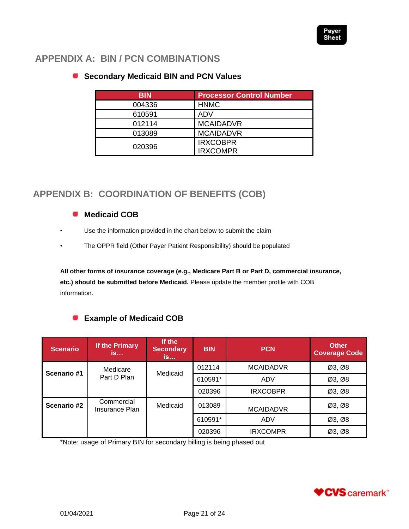## <span id="page-20-0"></span>**APPENDIX A: BIN / PCN COMBINATIONS**

| <b>BIN</b> | <b>Processor Control Number</b>    |
|------------|------------------------------------|
| 004336     | <b>HNMC</b>                        |
| 610591     | ADV                                |
| 012114     | <b>MCAIDADVR</b>                   |
| 013089     | <b>MCAIDADVR</b>                   |
| 020396     | <b>IRXCOBPR</b><br><b>IRXCOMPR</b> |

#### <span id="page-20-1"></span>**Secondary Medicaid BIN and PCN Values**

## <span id="page-20-2"></span>**APPENDIX B: COORDINATION OF BENEFITS (COB)**

#### <span id="page-20-3"></span>**Medicaid COB**

- Use the information provided in the chart below to submit the claim
- The OPPR field (Other Payer Patient Responsibility) should be populated

**All other forms of insurance coverage (e.g., Medicare Part B or Part D, commercial insurance, etc.) should be submitted before Medicaid.** Please update the member profile with COB information.

#### <span id="page-20-4"></span>**Example of Medicaid COB**

| <b>Scenario</b> | If the Primary<br>is         | If the<br><b>Secondary</b><br>is | <b>BIN</b> | <b>PCN</b>       | <b>Other</b><br><b>Coverage Code</b> |
|-----------------|------------------------------|----------------------------------|------------|------------------|--------------------------------------|
| Scenario #1     | Medicare                     | Medicaid                         | 012114     | <b>MCAIDADVR</b> | Ø3, Ø8                               |
|                 | Part D Plan                  |                                  | 610591*    | <b>ADV</b>       | Ø3, Ø8                               |
|                 |                              |                                  | 020396     | <b>IRXCOBPR</b>  | Ø3, Ø8                               |
| Scenario #2     | Commercial<br>Insurance Plan | Medicaid                         | 013089     | <b>MCAIDADVR</b> | Ø3, Ø8                               |
|                 |                              |                                  | 610591*    | <b>ADV</b>       | Ø3, Ø8                               |
|                 |                              |                                  | 020396     | <b>IRXCOMPR</b>  | Ø3, Ø8                               |

\*Note: usage of Primary BIN for secondary billing is being phased out

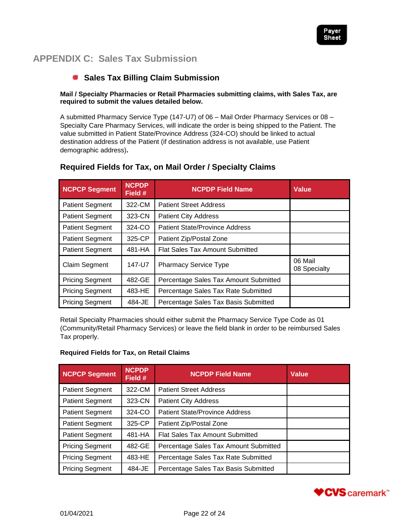

## <span id="page-21-0"></span>**APPENDIX C: Sales Tax Submission**

#### <span id="page-21-1"></span>**Sales Tax Billing Claim Submission**

#### **Mail / Specialty Pharmacies or Retail Pharmacies submitting claims, with Sales Tax, are required to submit the values detailed below.**

A submitted Pharmacy Service Type (147-U7) of 06 – Mail Order Pharmacy Services or 08 – Specialty Care Pharmacy Services, will indicate the order is being shipped to the Patient. The value submitted in Patient State/Province Address (324-CO) should be linked to actual destination address of the Patient (if destination address is not available, use Patient demographic address)**.** 

| <b>NCPCP Segment</b>   | <b>NCPDP</b><br>Field # | <b>NCPDP Field Name</b>                | <b>Value</b>            |
|------------------------|-------------------------|----------------------------------------|-------------------------|
| <b>Patient Segment</b> | 322-CM                  | <b>Patient Street Address</b>          |                         |
| <b>Patient Segment</b> | 323-CN                  | <b>Patient City Address</b>            |                         |
| <b>Patient Segment</b> | 324-CO                  | <b>Patient State/Province Address</b>  |                         |
| <b>Patient Segment</b> | 325-CP                  | Patient Zip/Postal Zone                |                         |
| <b>Patient Segment</b> | 481-HA                  | <b>Flat Sales Tax Amount Submitted</b> |                         |
| <b>Claim Segment</b>   | 147-U7                  | <b>Pharmacy Service Type</b>           | 06 Mail<br>08 Specialty |
| <b>Pricing Segment</b> | 482-GE                  | Percentage Sales Tax Amount Submitted  |                         |
| <b>Pricing Segment</b> | 483-HE                  | Percentage Sales Tax Rate Submitted    |                         |
| <b>Pricing Segment</b> | 484-JE                  | Percentage Sales Tax Basis Submitted   |                         |

#### **Required Fields for Tax, on Mail Order / Specialty Claims**

Retail Specialty Pharmacies should either submit the Pharmacy Service Type Code as 01 (Community/Retail Pharmacy Services) or leave the field blank in order to be reimbursed Sales Tax properly.

#### **Required Fields for Tax, on Retail Claims**

| <b>NCPCP Segment</b>   | <b>NCPDP</b><br>Field # | <b>NCPDP Field Name</b>                | <b>Value</b> |
|------------------------|-------------------------|----------------------------------------|--------------|
| <b>Patient Segment</b> | 322-CM                  | <b>Patient Street Address</b>          |              |
| <b>Patient Segment</b> | 323-CN                  | <b>Patient City Address</b>            |              |
| <b>Patient Segment</b> | 324-CO                  | <b>Patient State/Province Address</b>  |              |
| <b>Patient Segment</b> | 325-CP                  | Patient Zip/Postal Zone                |              |
| <b>Patient Segment</b> | 481-HA                  | <b>Flat Sales Tax Amount Submitted</b> |              |
| <b>Pricing Segment</b> | 482-GE                  | Percentage Sales Tax Amount Submitted  |              |
| <b>Pricing Segment</b> | 483-HE                  | Percentage Sales Tax Rate Submitted    |              |
| <b>Pricing Segment</b> | 484-JE                  | Percentage Sales Tax Basis Submitted   |              |

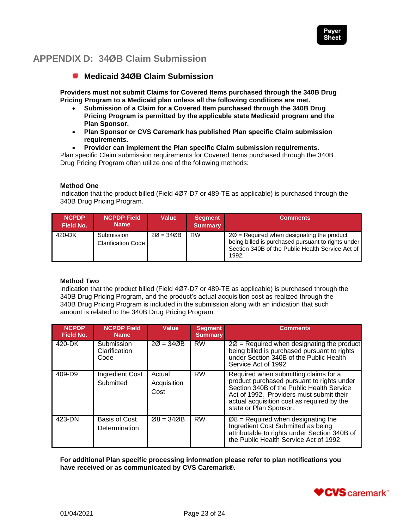

## <span id="page-22-0"></span>**APPENDIX D: 34ØB Claim Submission**

#### <span id="page-22-1"></span>**Medicaid 34ØB Claim Submission**

**Providers must not submit Claims for Covered Items purchased through the 340B Drug Pricing Program to a Medicaid plan unless all the following conditions are met.**

- **Submission of a Claim for a Covered Item purchased through the 340B Drug Pricing Program is permitted by the applicable state Medicaid program and the Plan Sponsor.**
- **Plan Sponsor or CVS Caremark has published Plan specific Claim submission requirements.**
- **Provider can implement the Plan specific Claim submission requirements.**

Plan specific Claim submission requirements for Covered Items purchased through the 340B Drug Pricing Program often utilize one of the following methods:

#### **Method One**

Indication that the product billed (Field 4Ø7-D7 or 489-TE as applicable) is purchased through the 340B Drug Pricing Program.

| <b>NCPDP</b><br>Field No. | <b>NCPDP Field</b><br><b>Name</b>       | Value       | <b>Segment</b><br><b>Summary</b> | <b>Comments</b>                                                                                                                                                           |
|---------------------------|-----------------------------------------|-------------|----------------------------------|---------------------------------------------------------------------------------------------------------------------------------------------------------------------------|
| 420-DK                    | Submission<br><b>Clarification Code</b> | $20 = 340B$ | <b>RW</b>                        | $2\varnothing$ = Required when designating the product<br>being billed is purchased pursuant to rights under<br>Section 340B of the Public Health Service Act of<br>1992. |

#### **Method Two**

Indication that the product billed (Field 4Ø7-D7 or 489-TE as applicable) is purchased through the 340B Drug Pricing Program, and the product's actual acquisition cost as realized through the 340B Drug Pricing Program is included in the submission along with an indication that such amount is related to the 340B Drug Pricing Program.

| <b>NCPDP</b><br>Field No. | <b>NCPDP Field</b><br><b>Name</b>   | Value                         | <b>Segment</b><br><b>Summary</b> | <b>Comments</b>                                                                                                                                                                                                                                      |
|---------------------------|-------------------------------------|-------------------------------|----------------------------------|------------------------------------------------------------------------------------------------------------------------------------------------------------------------------------------------------------------------------------------------------|
| 420-DK                    | Submission<br>Clarification<br>Code | $20 = 340B$                   | <b>RW</b>                        | $20 =$ Required when designating the product<br>being billed is purchased pursuant to rights<br>under Section 340B of the Public Health<br>Service Act of 1992.                                                                                      |
| $409 - D9$                | <b>Ingredient Cost</b><br>Submitted | Actual<br>Acquisition<br>Cost | <b>RW</b>                        | Required when submitting claims for a<br>product purchased pursuant to rights under<br>Section 340B of the Public Health Service<br>Act of 1992. Providers must submit their<br>actual acquisition cost as required by the<br>state or Plan Sponsor. |
| 423-DN                    | Basis of Cost<br>Determination      | $Ø8 = 34ØB$                   | <b>RW</b>                        | $Ø8$ = Required when designating the<br>Ingredient Cost Submitted as being<br>attributable to rights under Section 340B of<br>the Public Health Service Act of 1992.                                                                                 |

**For additional Plan specific processing information please refer to plan notifications you have received or as communicated by CVS Caremark®.**